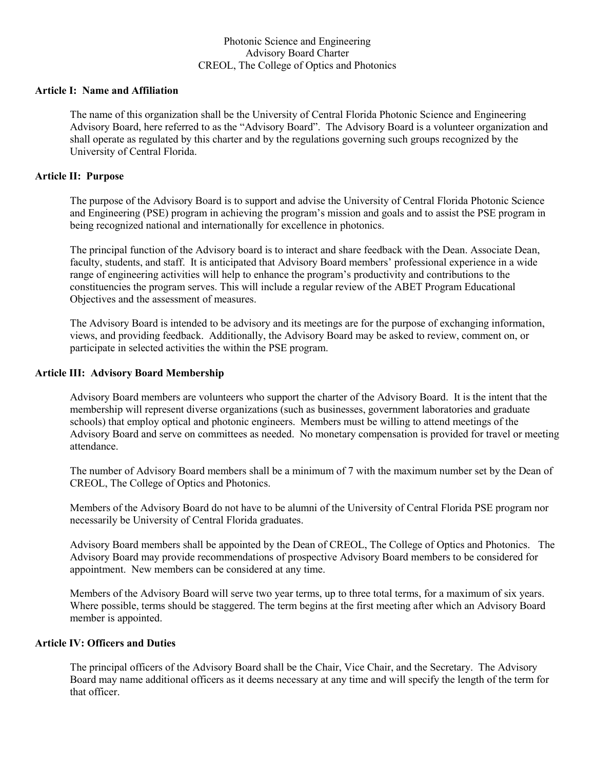## Photonic Science and Engineering Advisory Board Charter CREOL, The College of Optics and Photonics

## **Article I: Name and Affiliation**

The name of this organization shall be the University of Central Florida Photonic Science and Engineering Advisory Board, here referred to as the "Advisory Board". The Advisory Board is a volunteer organization and shall operate as regulated by this charter and by the regulations governing such groups recognized by the University of Central Florida.

## **Article II: Purpose**

The purpose of the Advisory Board is to support and advise the University of Central Florida Photonic Science and Engineering (PSE) program in achieving the program's mission and goals and to assist the PSE program in being recognized national and internationally for excellence in photonics.

The principal function of the Advisory board is to interact and share feedback with the Dean. Associate Dean, faculty, students, and staff. It is anticipated that Advisory Board members' professional experience in a wide range of engineering activities will help to enhance the program's productivity and contributions to the constituencies the program serves. This will include a regular review of the ABET Program Educational Objectives and the assessment of measures.

The Advisory Board is intended to be advisory and its meetings are for the purpose of exchanging information, views, and providing feedback. Additionally, the Advisory Board may be asked to review, comment on, or participate in selected activities the within the PSE program.

#### **Article III: Advisory Board Membership**

Advisory Board members are volunteers who support the charter of the Advisory Board. It is the intent that the membership will represent diverse organizations (such as businesses, government laboratories and graduate schools) that employ optical and photonic engineers. Members must be willing to attend meetings of the Advisory Board and serve on committees as needed. No monetary compensation is provided for travel or meeting attendance.

The number of Advisory Board members shall be a minimum of 7 with the maximum number set by the Dean of CREOL, The College of Optics and Photonics.

Members of the Advisory Board do not have to be alumni of the University of Central Florida PSE program nor necessarily be University of Central Florida graduates.

Advisory Board members shall be appointed by the Dean of CREOL, The College of Optics and Photonics. The Advisory Board may provide recommendations of prospective Advisory Board members to be considered for appointment. New members can be considered at any time.

Members of the Advisory Board will serve two year terms, up to three total terms, for a maximum of six years. Where possible, terms should be staggered. The term begins at the first meeting after which an Advisory Board member is appointed.

## **Article IV: Officers and Duties**

The principal officers of the Advisory Board shall be the Chair, Vice Chair, and the Secretary. The Advisory Board may name additional officers as it deems necessary at any time and will specify the length of the term for that officer.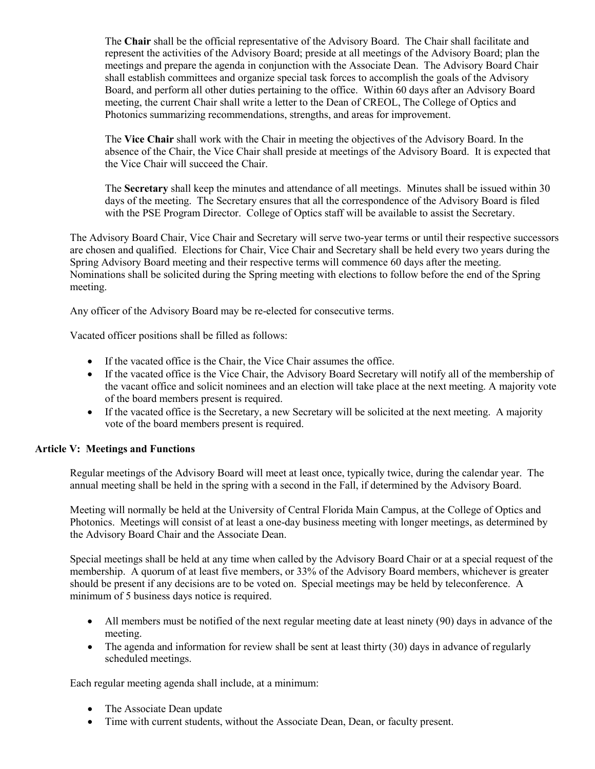The **Chair** shall be the official representative of the Advisory Board. The Chair shall facilitate and represent the activities of the Advisory Board; preside at all meetings of the Advisory Board; plan the meetings and prepare the agenda in conjunction with the Associate Dean. The Advisory Board Chair shall establish committees and organize special task forces to accomplish the goals of the Advisory Board, and perform all other duties pertaining to the office. Within 60 days after an Advisory Board meeting, the current Chair shall write a letter to the Dean of CREOL, The College of Optics and Photonics summarizing recommendations, strengths, and areas for improvement.

The **Vice Chair** shall work with the Chair in meeting the objectives of the Advisory Board. In the absence of the Chair, the Vice Chair shall preside at meetings of the Advisory Board. It is expected that the Vice Chair will succeed the Chair.

The **Secretary** shall keep the minutes and attendance of all meetings. Minutes shall be issued within 30 days of the meeting. The Secretary ensures that all the correspondence of the Advisory Board is filed with the PSE Program Director. College of Optics staff will be available to assist the Secretary.

The Advisory Board Chair, Vice Chair and Secretary will serve two-year terms or until their respective successors are chosen and qualified. Elections for Chair, Vice Chair and Secretary shall be held every two years during the Spring Advisory Board meeting and their respective terms will commence 60 days after the meeting. Nominations shall be solicited during the Spring meeting with elections to follow before the end of the Spring meeting.

Any officer of the Advisory Board may be re-elected for consecutive terms.

Vacated officer positions shall be filled as follows:

- If the vacated office is the Chair, the Vice Chair assumes the office.
- If the vacated office is the Vice Chair, the Advisory Board Secretary will notify all of the membership of the vacant office and solicit nominees and an election will take place at the next meeting. A majority vote of the board members present is required.
- If the vacated office is the Secretary, a new Secretary will be solicited at the next meeting. A majority vote of the board members present is required.

## **Article V: Meetings and Functions**

Regular meetings of the Advisory Board will meet at least once, typically twice, during the calendar year. The annual meeting shall be held in the spring with a second in the Fall, if determined by the Advisory Board.

Meeting will normally be held at the University of Central Florida Main Campus, at the College of Optics and Photonics. Meetings will consist of at least a one-day business meeting with longer meetings, as determined by the Advisory Board Chair and the Associate Dean.

Special meetings shall be held at any time when called by the Advisory Board Chair or at a special request of the membership. A quorum of at least five members, or 33% of the Advisory Board members, whichever is greater should be present if any decisions are to be voted on. Special meetings may be held by teleconference. A minimum of 5 business days notice is required.

- All members must be notified of the next regular meeting date at least ninety (90) days in advance of the meeting.
- The agenda and information for review shall be sent at least thirty (30) days in advance of regularly scheduled meetings.

Each regular meeting agenda shall include, at a minimum:

- The Associate Dean update
- Time with current students, without the Associate Dean, Dean, or faculty present.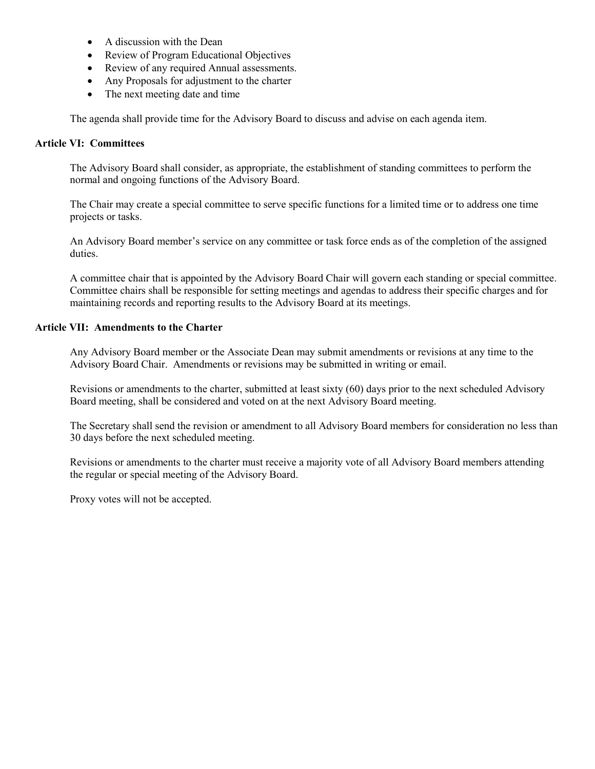- A discussion with the Dean
- Review of Program Educational Objectives
- Review of any required Annual assessments.
- Any Proposals for adjustment to the charter
- The next meeting date and time

The agenda shall provide time for the Advisory Board to discuss and advise on each agenda item.

## **Article VI: Committees**

The Advisory Board shall consider, as appropriate, the establishment of standing committees to perform the normal and ongoing functions of the Advisory Board.

The Chair may create a special committee to serve specific functions for a limited time or to address one time projects or tasks.

An Advisory Board member's service on any committee or task force ends as of the completion of the assigned duties.

A committee chair that is appointed by the Advisory Board Chair will govern each standing or special committee. Committee chairs shall be responsible for setting meetings and agendas to address their specific charges and for maintaining records and reporting results to the Advisory Board at its meetings.

#### **Article VII: Amendments to the Charter**

Any Advisory Board member or the Associate Dean may submit amendments or revisions at any time to the Advisory Board Chair. Amendments or revisions may be submitted in writing or email.

Revisions or amendments to the charter, submitted at least sixty (60) days prior to the next scheduled Advisory Board meeting, shall be considered and voted on at the next Advisory Board meeting.

The Secretary shall send the revision or amendment to all Advisory Board members for consideration no less than 30 days before the next scheduled meeting.

Revisions or amendments to the charter must receive a majority vote of all Advisory Board members attending the regular or special meeting of the Advisory Board.

Proxy votes will not be accepted.